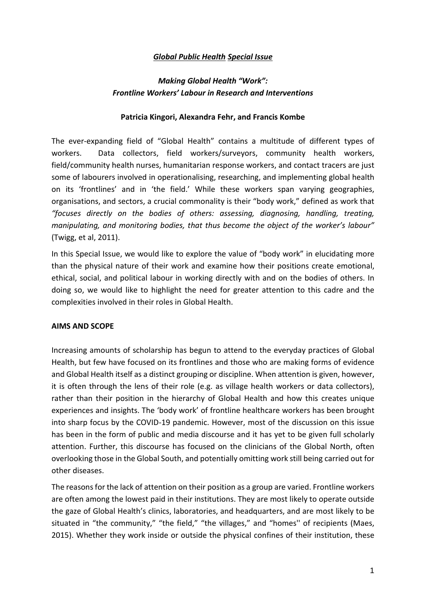## *Global Public Health Special Issue*

# *Making Global Health "Work": Frontline Workers' Labour in Research and Interventions*

### **Patricia Kingori, Alexandra Fehr, and Francis Kombe**

The ever-expanding field of "Global Health" contains a multitude of different types of workers. Data collectors, field workers/surveyors, community health workers, field/community health nurses, humanitarian response workers, and contact tracers are just some of labourers involved in operationalising, researching, and implementing global health on its 'frontlines' and in 'the field.' While these workers span varying geographies, organisations, and sectors, a crucial commonality is their "body work," defined as work that *"focuses directly on the bodies of others: assessing, diagnosing, handling, treating, manipulating, and monitoring bodies, that thus become the object of the worker's labour"* (Twigg, et al, 2011).

In this Special Issue, we would like to explore the value of "body work" in elucidating more than the physical nature of their work and examine how their positions create emotional, ethical, social, and political labour in working directly with and on the bodies of others. In doing so, we would like to highlight the need for greater attention to this cadre and the complexities involved in their roles in Global Health.

### **AIMS AND SCOPE**

Increasing amounts of scholarship has begun to attend to the everyday practices of Global Health, but few have focused on its frontlines and those who are making forms of evidence and Global Health itself as a distinct grouping or discipline. When attention is given, however, it is often through the lens of their role (e.g. as village health workers or data collectors), rather than their position in the hierarchy of Global Health and how this creates unique experiences and insights. The 'body work' of frontline healthcare workers has been brought into sharp focus by the COVID-19 pandemic. However, most of the discussion on this issue has been in the form of public and media discourse and it has yet to be given full scholarly attention. Further, this discourse has focused on the clinicians of the Global North, often overlooking those in the Global South, and potentially omitting work still being carried out for other diseases.

The reasons for the lack of attention on their position as a group are varied. Frontline workers are often among the lowest paid in their institutions. They are most likely to operate outside the gaze of Global Health's clinics, laboratories, and headquarters, and are most likely to be situated in "the community," "the field," "the villages," and "homes'' of recipients (Maes, 2015). Whether they work inside or outside the physical confines of their institution, these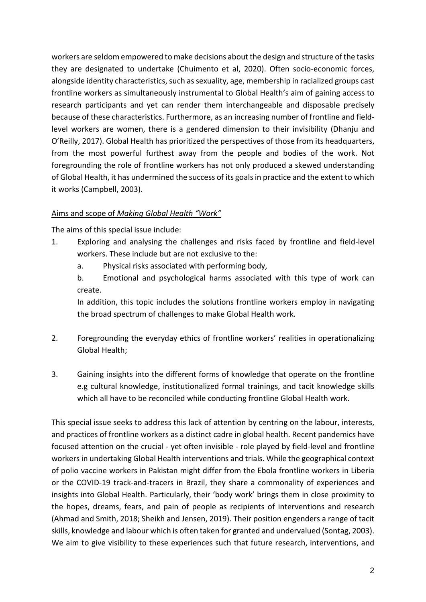workers are seldom empowered to make decisions about the design and structure of the tasks they are designated to undertake (Chuimento et al, 2020). Often socio-economic forces, alongside identity characteristics, such as sexuality, age, membership in racialized groups cast frontline workers as simultaneously instrumental to Global Health's aim of gaining access to research participants and yet can render them interchangeable and disposable precisely because of these characteristics. Furthermore, as an increasing number of frontline and fieldlevel workers are women, there is a gendered dimension to their invisibility (Dhanju and O'Reilly, 2017). Global Health has prioritized the perspectives of those from its headquarters, from the most powerful furthest away from the people and bodies of the work. Not foregrounding the role of frontline workers has not only produced a skewed understanding of Global Health, it has undermined the success of its goals in practice and the extent to which it works (Campbell, 2003).

# Aims and scope of *Making Global Health "Work"*

The aims of this special issue include:

- 1. Exploring and analysing the challenges and risks faced by frontline and field-level workers. These include but are not exclusive to the:
	- a. Physical risks associated with performing body,
	- b. Emotional and psychological harms associated with this type of work can create.

In addition, this topic includes the solutions frontline workers employ in navigating the broad spectrum of challenges to make Global Health work.

- 2. Foregrounding the everyday ethics of frontline workers' realities in operationalizing Global Health;
- 3. Gaining insights into the different forms of knowledge that operate on the frontline e.g cultural knowledge, institutionalized formal trainings, and tacit knowledge skills which all have to be reconciled while conducting frontline Global Health work.

This special issue seeks to address this lack of attention by centring on the labour, interests, and practices of frontline workers as a distinct cadre in global health. Recent pandemics have focused attention on the crucial - yet often invisible - role played by field-level and frontline workers in undertaking Global Health interventions and trials. While the geographical context of polio vaccine workers in Pakistan might differ from the Ebola frontline workers in Liberia or the COVID-19 track-and-tracers in Brazil, they share a commonality of experiences and insights into Global Health. Particularly, their 'body work' brings them in close proximity to the hopes, dreams, fears, and pain of people as recipients of interventions and research (Ahmad and Smith, 2018; Sheikh and Jensen, 2019). Their position engenders a range of tacit skills, knowledge and labour which is often taken for granted and undervalued (Sontag, 2003). We aim to give visibility to these experiences such that future research, interventions, and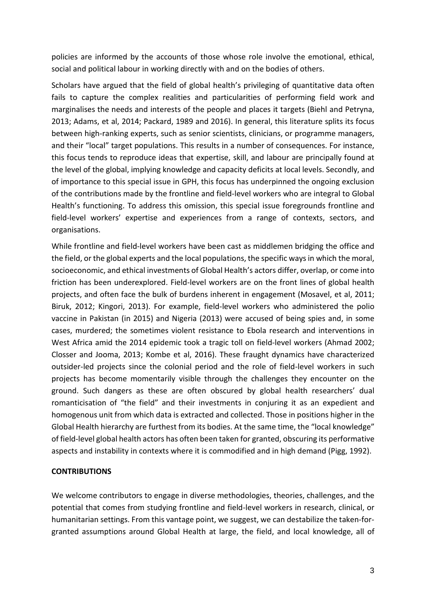policies are informed by the accounts of those whose role involve the emotional, ethical, social and political labour in working directly with and on the bodies of others.

Scholars have argued that the field of global health's privileging of quantitative data often fails to capture the complex realities and particularities of performing field work and marginalises the needs and interests of the people and places it targets (Biehl and Petryna, 2013; Adams, et al, 2014; Packard, 1989 and 2016). In general, this literature splits its focus between high-ranking experts, such as senior scientists, clinicians, or programme managers, and their "local" target populations. This results in a number of consequences. For instance, this focus tends to reproduce ideas that expertise, skill, and labour are principally found at the level of the global, implying knowledge and capacity deficits at local levels. Secondly, and of importance to this special issue in GPH, this focus has underpinned the ongoing exclusion of the contributions made by the frontline and field-level workers who are integral to Global Health's functioning. To address this omission, this special issue foregrounds frontline and field-level workers' expertise and experiences from a range of contexts, sectors, and organisations.

While frontline and field-level workers have been cast as middlemen bridging the office and the field, or the global experts and the local populations, the specific ways in which the moral, socioeconomic, and ethical investments of Global Health's actors differ, overlap, or come into friction has been underexplored. Field-level workers are on the front lines of global health projects, and often face the bulk of burdens inherent in engagement (Mosavel, et al, 2011; Biruk, 2012; Kingori, 2013). For example, field-level workers who administered the polio vaccine in Pakistan (in 2015) and Nigeria (2013) were accused of being spies and, in some cases, murdered; the sometimes violent resistance to Ebola research and interventions in West Africa amid the 2014 epidemic took a tragic toll on field-level workers (Ahmad 2002; Closser and Jooma, 2013; Kombe et al, 2016). These fraught dynamics have characterized outsider-led projects since the colonial period and the role of field-level workers in such projects has become momentarily visible through the challenges they encounter on the ground. Such dangers as these are often obscured by global health researchers' dual romanticisation of "the field" and their investments in conjuring it as an expedient and homogenous unit from which data is extracted and collected. Those in positions higher in the Global Health hierarchy are furthest from its bodies. At the same time, the "local knowledge" of field-level global health actors has often been taken for granted, obscuring its performative aspects and instability in contexts where it is commodified and in high demand (Pigg, 1992).

### **CONTRIBUTIONS**

We welcome contributors to engage in diverse methodologies, theories, challenges, and the potential that comes from studying frontline and field-level workers in research, clinical, or humanitarian settings. From this vantage point, we suggest, we can destabilize the taken-forgranted assumptions around Global Health at large, the field, and local knowledge, all of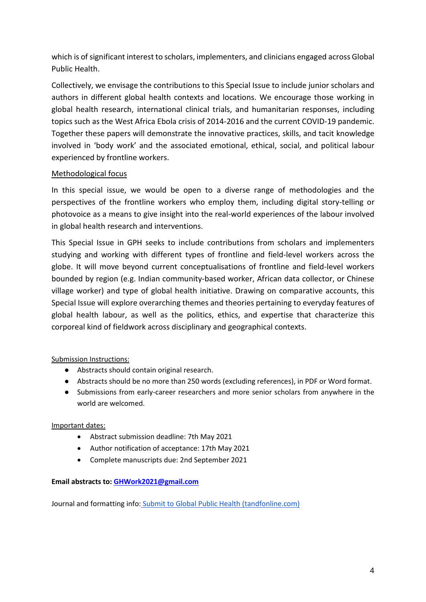which is of significant interest to scholars, implementers, and clinicians engaged across Global Public Health.

Collectively, we envisage the contributions to this Special Issue to include junior scholars and authors in different global health contexts and locations. We encourage those working in global health research, international clinical trials, and humanitarian responses, including topics such as the West Africa Ebola crisis of 2014-2016 and the current COVID-19 pandemic. Together these papers will demonstrate the innovative practices, skills, and tacit knowledge involved in 'body work' and the associated emotional, ethical, social, and political labour experienced by frontline workers.

# Methodological focus

In this special issue, we would be open to a diverse range of methodologies and the perspectives of the frontline workers who employ them, including digital story-telling or photovoice as a means to give insight into the real-world experiences of the labour involved in global health research and interventions.

This Special Issue in GPH seeks to include contributions from scholars and implementers studying and working with different types of frontline and field-level workers across the globe. It will move beyond current conceptualisations of frontline and field-level workers bounded by region (e.g. Indian community-based worker, African data collector, or Chinese village worker) and type of global health initiative. Drawing on comparative accounts, this Special Issue will explore overarching themes and theories pertaining to everyday features of global health labour, as well as the politics, ethics, and expertise that characterize this corporeal kind of fieldwork across disciplinary and geographical contexts.

## Submission Instructions:

- Abstracts should contain original research.
- Abstracts should be no more than 250 words (excluding references), in PDF or Word format.
- Submissions from early-career researchers and more senior scholars from anywhere in the world are welcomed.

## Important dates:

- Abstract submission deadline: 7th May 2021
- Author notification of acceptance: 17th May 2021
- Complete manuscripts due: 2nd September 2021

### **Email abstracts to: GHWork2021@gmail.com**

Journal and formatting info: Submit to Global Public Health (tandfonline.com)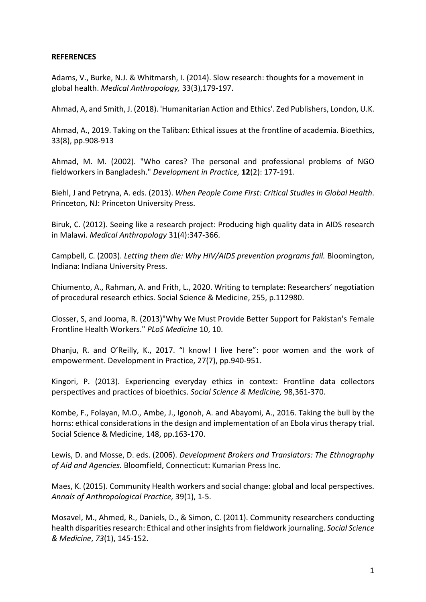### **REFERENCES**

Adams, V., Burke, N.J. & Whitmarsh, I. (2014). Slow research: thoughts for a movement in global health. *Medical Anthropology,* 33(3),179-197.

Ahmad, A, and Smith, J. (2018). 'Humanitarian Action and Ethics'. Zed Publishers, London, U.K.

Ahmad, A., 2019. Taking on the Taliban: Ethical issues at the frontline of academia. Bioethics, 33(8), pp.908-913

Ahmad, M. M. (2002). "Who cares? The personal and professional problems of NGO fieldworkers in Bangladesh." *Development in Practice,* **12**(2): 177-191.

Biehl, J and Petryna, A. eds. (2013). *When People Come First: Critical Studies in Global Health*. Princeton, NJ: Princeton University Press.

Biruk, C. (2012). Seeing like a research project: Producing high quality data in AIDS research in Malawi. *Medical Anthropology* 31(4):347-366.

Campbell, C. (2003). *Letting them die: Why HIV/AIDS prevention programs fail.* Bloomington, Indiana: Indiana University Press.

Chiumento, A., Rahman, A. and Frith, L., 2020. Writing to template: Researchers' negotiation of procedural research ethics. Social Science & Medicine, 255, p.112980.

Closser, S, and Jooma, R. (2013)"Why We Must Provide Better Support for Pakistan's Female Frontline Health Workers." *PLoS Medicine* 10, 10.

Dhanju, R. and O'Reilly, K., 2017. "I know! I live here": poor women and the work of empowerment. Development in Practice, 27(7), pp.940-951.

Kingori, P. (2013). Experiencing everyday ethics in context: Frontline data collectors perspectives and practices of bioethics. *Social Science & Medicine,* 98,361-370.

Kombe, F., Folayan, M.O., Ambe, J., Igonoh, A. and Abayomi, A., 2016. Taking the bull by the horns: ethical considerations in the design and implementation of an Ebola virus therapy trial. Social Science & Medicine, 148, pp.163-170.

Lewis, D. and Mosse, D. eds. (2006). *Development Brokers and Translators: The Ethnography of Aid and Agencies.* Bloomfield, Connecticut: Kumarian Press Inc.

Maes, K. (2015). Community Health workers and social change: global and local perspectives. *Annals of Anthropological Practice,* 39(1), 1-5.

Mosavel, M., Ahmed, R., Daniels, D., & Simon, C. (2011). Community researchers conducting health disparities research: Ethical and other insights from fieldwork journaling. *Social Science & Medicine*, *73*(1), 145-152.